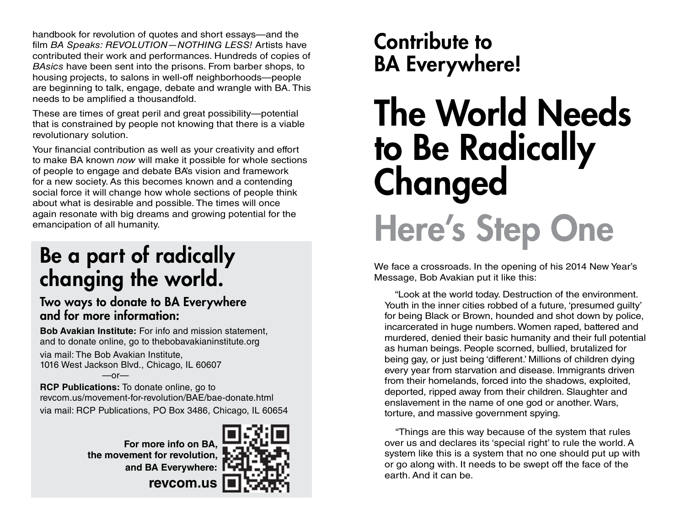handbook for revolution of quotes and short essays—and the film *BA Speaks: REVOLUTION—NOTHING LESS!* Artists have contributed their work and performances. Hundreds of copies of *BAsics* have been sent into the prisons. From barber shops, to housing projects, to salons in well-off neighborhoods—people are beginning to talk, engage, debate and wrangle with BA. This needs to be amplified a thousandfold.

These are times of great peril and great possibility—potential that is constrained by people not knowing that there is a viable revolutionary solution.

Your financial contribution as well as your creativity and effort to make BA known *now* will make it possible for whole sections of people to engage and debate BA's vision and framework for a new society. As this becomes known and a contending social force it will change how whole sections of people think about what is desirable and possible. The times will once again resonate with big dreams and growing potential for the emancipation of all humanity.

## Be a part of radically changing the world.

### Two ways to donate to BA Everywhere and for more information:

**Bob Avakian Institute:** For info and mission statement, and to donate online, go to thebobavakianinstitute.org

via mail: The Bob Avakian Institute, 1016 West Jackson Blvd., Chicago, IL 60607  $-$ or $-$ 

**RCP Publications:** To donate online, go to revcom.us/movement-for-revolution/BAE/bae-donate.html via mail: RCP Publications, PO Box 3486, Chicago, IL 60654

> **For more info on BA, the movement for revolution, and BA Everywhere:**



**revcom.us**

# Contribute to BA Everywhere!

# The World Needs to Be Radically Changed Here's Step One

We face a crossroads. In the opening of his 2014 New Year's Message, Bob Avakian put it like this:

 "Look at the world today. Destruction of the environment. Youth in the inner cities robbed of a future, 'presumed guilty' for being Black or Brown, hounded and shot down by police, incarcerated in huge numbers. Women raped, battered and murdered, denied their basic humanity and their full potential as human beings. People scorned, bullied, brutalized for being gay, or just being 'different.' Millions of children dying every year from starvation and disease. Immigrants driven from their homelands, forced into the shadows, exploited, deported, ripped away from their children. Slaughter and enslavement in the name of one god or another. Wars, torture, and massive government spying.

 "Things are this way because of the system that rules over us and declares its 'special right' to rule the world. A system like this is a system that no one should put up with or go along with. It needs to be swept off the face of the earth. And it can be.